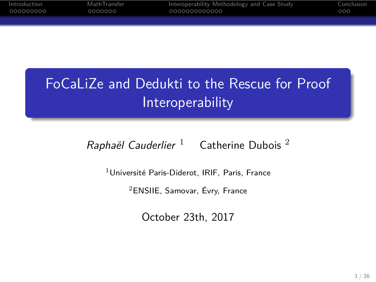# FoCaLiZe and Dedukti to the Rescue for Proof Interoperability

Introduction MathTransfer Interoperability Methodology and Case Study Conclusion

*Raphaël Cauderlier* <sup>1</sup> Catherine Dubois <sup>2</sup>

 $1$ Université Paris-Diderot, IRIF, Paris, France <sup>2</sup>ENSIIE, Samovar, Évry, France

October 23th, 2017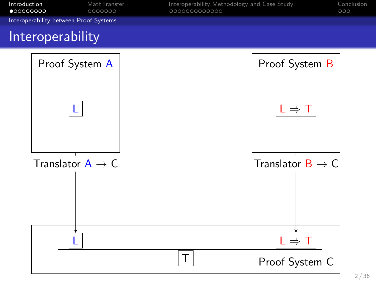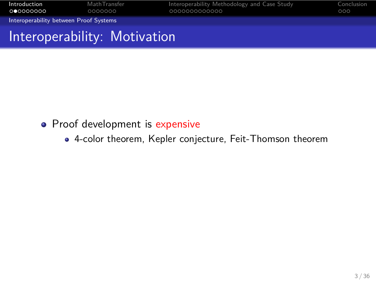

- Proof development is expensive
	- 4-color theorem, Kepler conjecture, Feit-Thomson theorem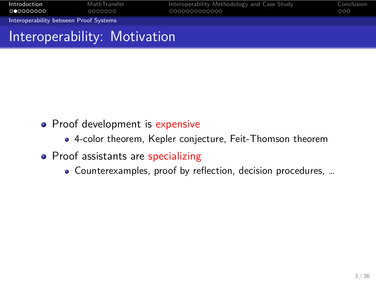#### **Introduction** MathTransfer **Interoperability Methodology and Case Study** Conclusion Interoperability between Proof Systems Interoperability: Motivation

- Proof development is expensive
	- 4-color theorem, Kepler conjecture, Feit-Thomson theorem
- Proof assistants are specializing
	- Counterexamples, proof by reflection, decision procedures, …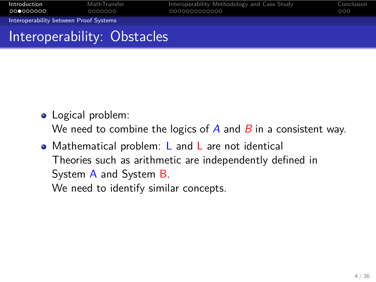

- Logical problem: We need to combine the logics of *A* and *B* in a consistent way.
- Mathematical problem: L and L are not identical Theories such as arithmetic are independently defined in System A and System B. We need to identify similar concepts.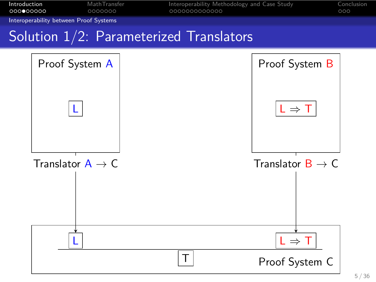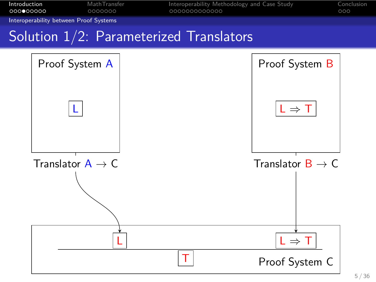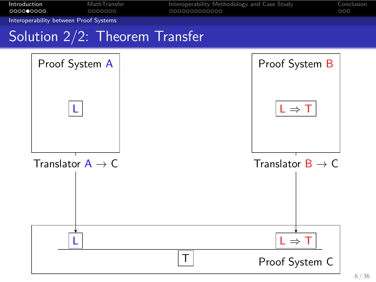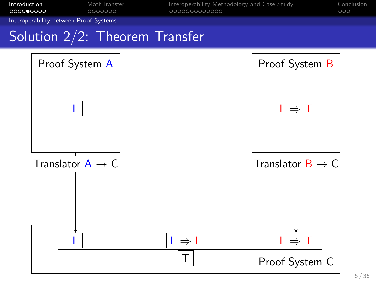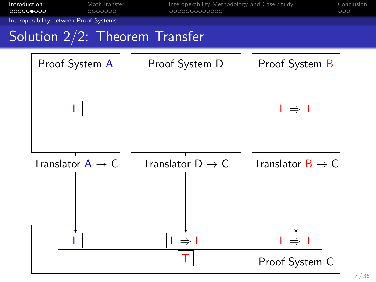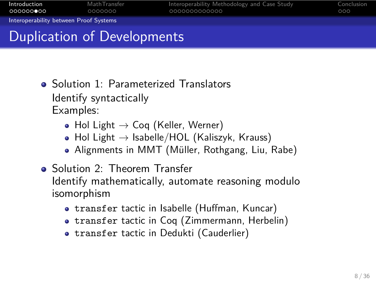#### Introduction MathTransfer Interoperability Methodology and Case Study Conclusion Interoperability between Proof Systems Duplication of Developments

• Solution 1: Parameterized Translators

Identify syntactically Examples:

- Hol Light *→* Coq (Keller, Werner)
- Hol Light *→* Isabelle/HOL (Kaliszyk, Krauss)
- Alignments in MMT (Müller, Rothgang, Liu, Rabe)
- Solution 2: Theorem Transfer Identify mathematically, automate reasoning modulo isomorphism
	- transfer tactic in Isabelle (Huffman, Kuncar)
	- transfer tactic in Coq (Zimmermann, Herbelin)
	- transfer tactic in Dedukti (Cauderlier)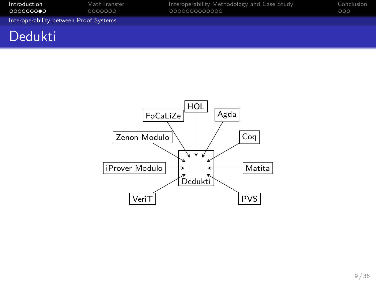

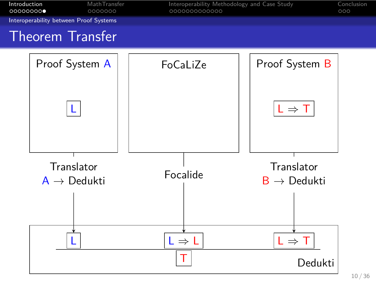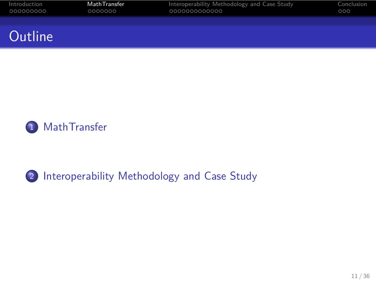Introduction MathTransfer Interoperability Methodology and Case Study Conclusion **Outline** 



2 Interoperability Methodology and Case Study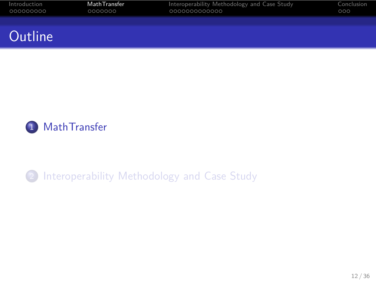Introduction MathTransfer Interoperability Methodology and Case Study Conclusion **Outline** 



2 Interoperability Methodology and Case Study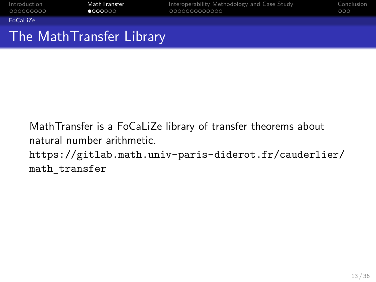

MathTransfer is a FoCaLiZe library of transfer theorems about natural number arithmetic. https://gitlab.math.univ-paris-diderot.fr/cauderlier/ math\_transfer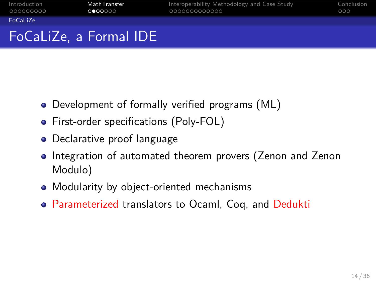

- Development of formally verified programs (ML)
- **•** First-order specifications (Poly-FOL)
- **·** Declarative proof language
- Integration of automated theorem provers (Zenon and Zenon Modulo)
- Modularity by object-oriented mechanisms
- Parameterized translators to Ocaml, Coq, and Dedukti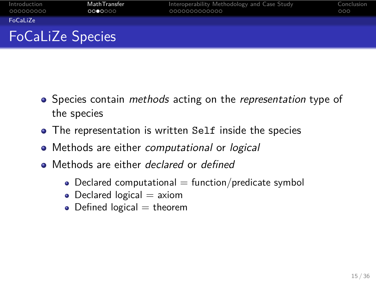

- Species contain *methods* acting on the *representation* type of the species
- The representation is written Self inside the species
- Methods are either *computational* or *logical*
- Methods are either *declared* or *defined*
	- $\bullet$  Declared computational = function/predicate symbol
	- $\bullet$  Declared logical  $=$  axiom
	- $\bullet$  Defined logical = theorem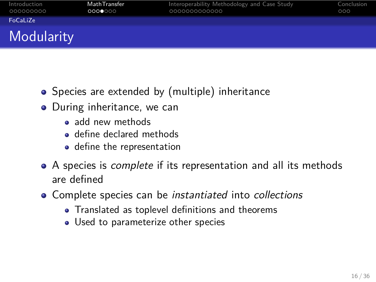| Introduction<br>000000000 | Math Transfer<br>0000000 | Interoperability Methodology and Case Study<br>0000000000000 | Conclusion<br>000 |
|---------------------------|--------------------------|--------------------------------------------------------------|-------------------|
| FoCaLiZe                  |                          |                                                              |                   |
| <b>Modularity</b>         |                          |                                                              |                   |

- Species are extended by (multiple) inheritance
- During inheritance, we can
	- add new methods
	- define declared methods
	- define the representation
- A species is *complete* if its representation and all its methods are defined
- Complete species can be *instantiated* into *collections*
	- Translated as toplevel definitions and theorems
	- Used to parameterize other species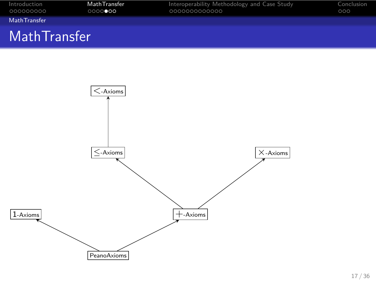

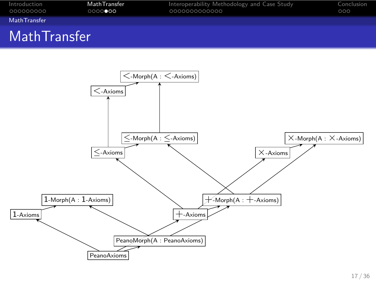

Introduction MathTransfer Interoperability Methodology and Case Study Conclusion

Introduction<br>000000000<br>**MathTransfer**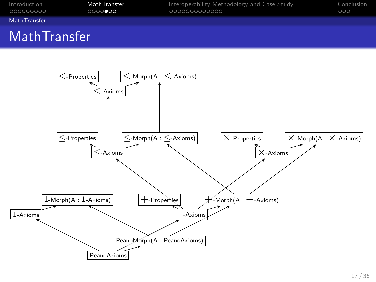

Introduction MathTransfer Interoperability Methodology and Case Study Conclusion

# MathTransfer

Introduction<br>000000000<br>**MathTransfer** 

PeanoAxioms

PeanoMorph(A : PeanoAxioms)

 $1-Axioms$  +-Axioms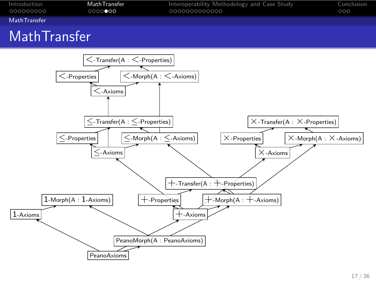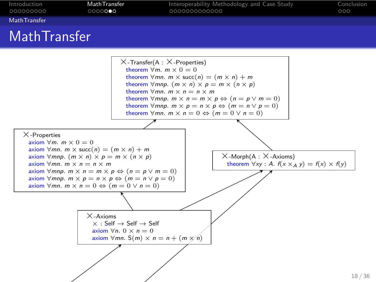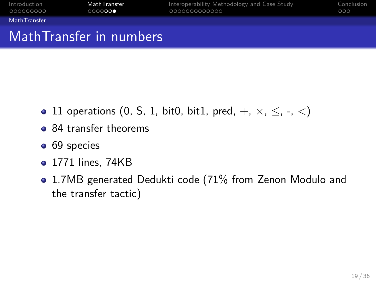

- 11 operations (0, S, 1, bit0, bit1, pred, +, *×*, *≤*, -, <)
- 84 transfer theorems
- 69 species
- 1771 lines, 74KB
- 1.7MB generated Dedukti code (71% from Zenon Modulo and the transfer tactic)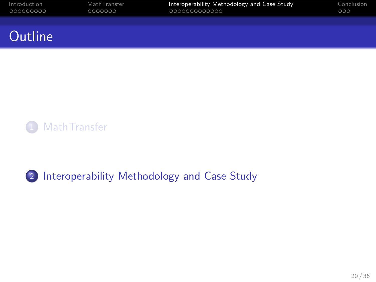Introduction MathTransfer Interoperability Methodology and Case Study Conclusion **Outline** 



2 Interoperability Methodology and Case Study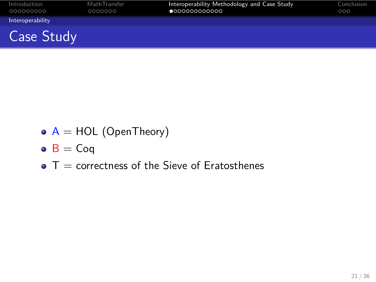

- $\circ$  A = HOL (OpenTheory)
- $\bullet$  B = Coq
- $\bullet$  T = correctness of the Sieve of Eratosthenes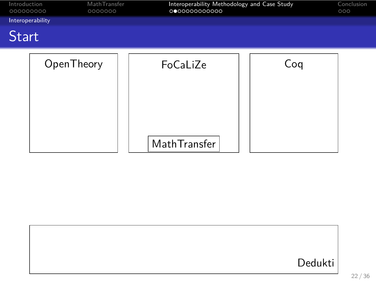| Introduction<br>Math Transfer<br>0000000<br>000000000 |            | Interoperability Methodology and Case Study<br>000000000000 |     |  |
|-------------------------------------------------------|------------|-------------------------------------------------------------|-----|--|
| Interoperability                                      |            |                                                             |     |  |
| <b>Start</b>                                          |            |                                                             |     |  |
|                                                       | OpenTheory | FoCaLiZe<br>MathTransfer                                    | Coq |  |

|  | Dedukti |
|--|---------|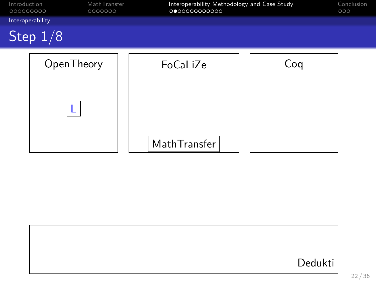| Introduction<br>000000000 | MathTransfer<br>0000000 | Interoperability Methodology and Case Study<br>000000000000 |     | Conclusion<br>000 |
|---------------------------|-------------------------|-------------------------------------------------------------|-----|-------------------|
| Interoperability          |                         |                                                             |     |                   |
|                           | Step $1/8$              |                                                             |     |                   |
|                           | OpenTheory              | FoCaLiZe                                                    | Coq |                   |
|                           |                         | MathTransfer                                                |     |                   |

|  | Dedukti |
|--|---------|
|  |         |
|  |         |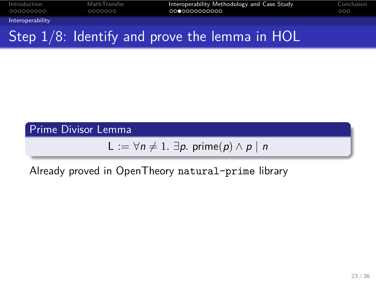Interoperability Step 1/8: Identify and prove the lemma in HOL

Introduction MathTransfer Interoperability Methodology and Case Study Conclusion

Prime Divisor Lemma

 $L := \forall n \neq 1$ *. ∃p.* prime(*p*)  $\land$  *p* | *n* 

Already proved in OpenTheory natural-prime library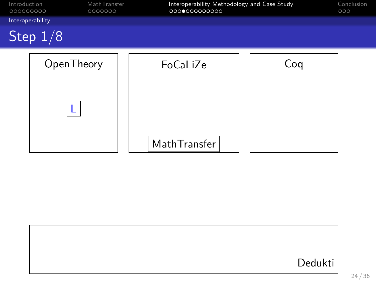| Introduction<br>000000000 | MathTransfer<br>0000000 | Interoperability Methodology and Case Study<br>000000000000 |     | Conclusion<br>000 |
|---------------------------|-------------------------|-------------------------------------------------------------|-----|-------------------|
| Interoperability          |                         |                                                             |     |                   |
|                           | Step $1/8$              |                                                             |     |                   |
|                           | OpenTheory              | FoCaLiZe                                                    | Coq |                   |
|                           |                         | MathTransfer                                                |     |                   |

|  | Dedukti |
|--|---------|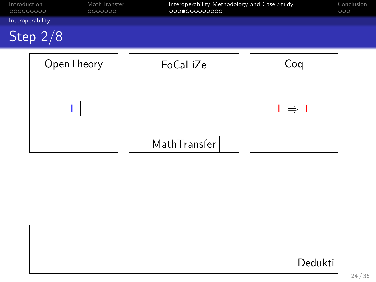

|  | Dedukti |
|--|---------|
|  |         |
|  |         |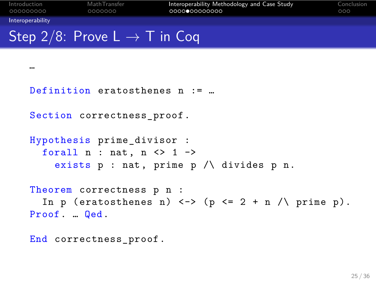```
Interoperability
Step 2/8: Prove L → T in Coq
   …
   Definition eratosthenes n := …
   Section correctness_proof.
   Hypothesis prime_divisor :
      forall n : nat, n < 1 ->
        exists p : nat, prime p /\ divides p n.
   Theorem correctness p n :
      In p (eratosthenes n) \langle - \rangle (p \langle = 2 + n \rangle ) prime p).
   Proof. … Qed.
   End correctness_proof.
```
Introduction MathTransfer Interoperability Methodology and Case Study Conclusion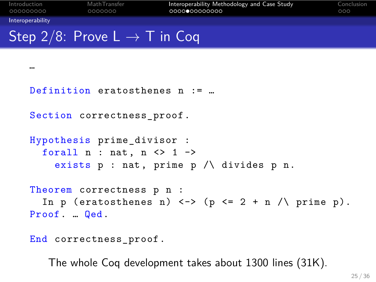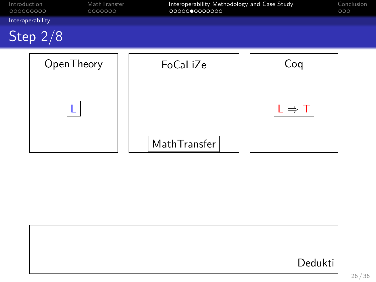

|  | Dedukti |
|--|---------|
|  |         |
|  |         |
|  |         |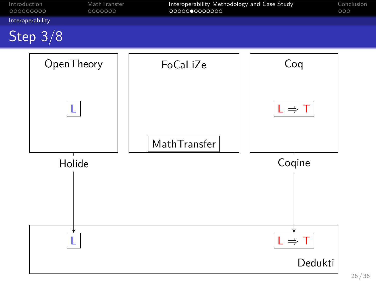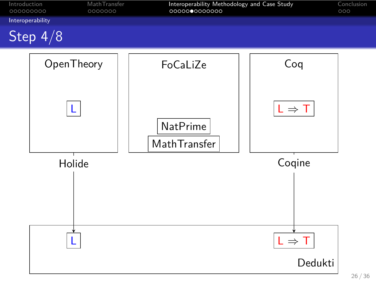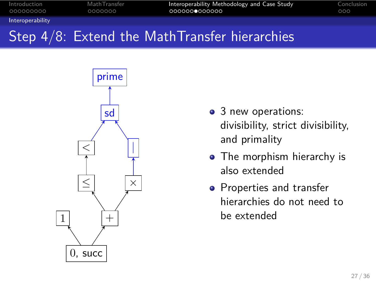#### Interoperability Step 4/8: Extend the MathTransfer hierarchies

Introduction MathTransfer Interoperability Methodology and Case Study Conclusion



- 3 new operations: divisibility, strict divisibility, and primality
- The morphism hierarchy is also extended
- Properties and transfer hierarchies do not need to be extended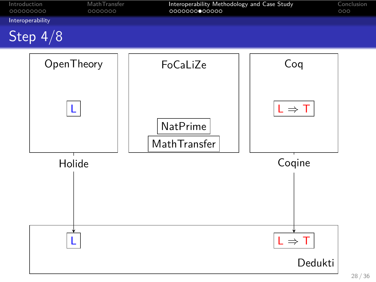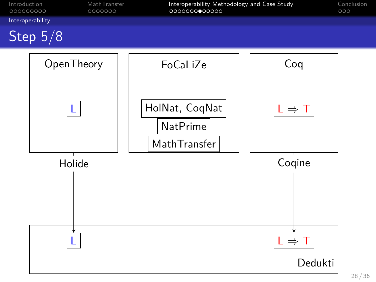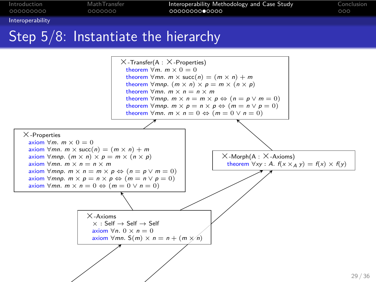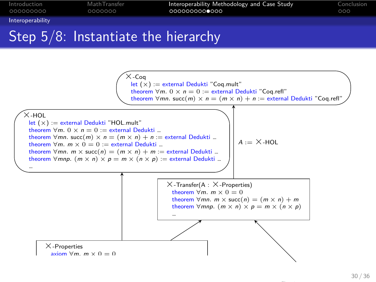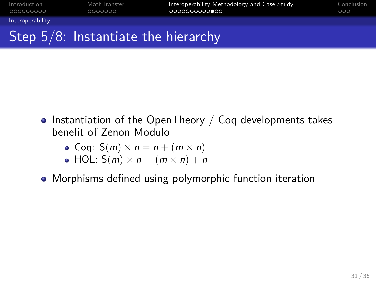## Introduction MathTransfer Interoperability Methodology and Case Study Conclusion Interoperability Step 5/8: Instantiate the hierarchy

- $\bullet$  Instantiation of the OpenTheory / Coq developments takes benefit of Zenon Modulo
	- Coq:  $S(m) \times n = n + (m \times n)$
	- $\bullet$  HOL:  $S(m) \times n = (m \times n) + n$
- Morphisms defined using polymorphic function iteration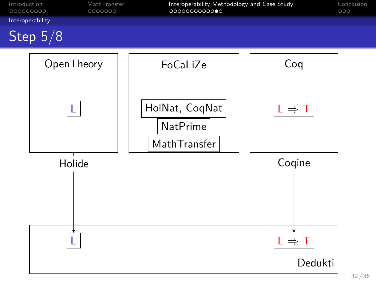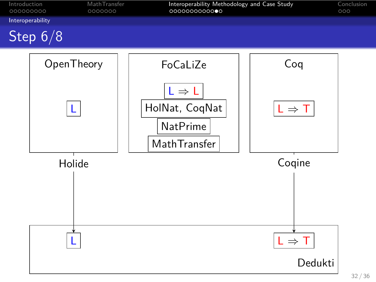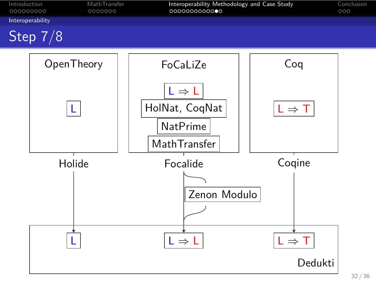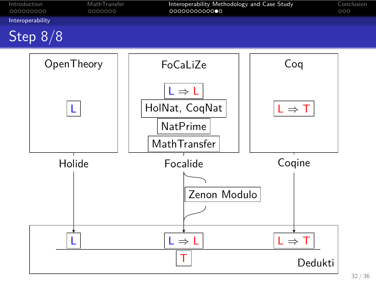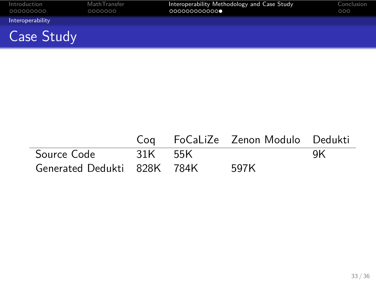

|                             |         | Cog FoCaLiZe Zenon Modulo Dedukti |    |
|-----------------------------|---------|-----------------------------------|----|
| Source Code                 | 31K 55K |                                   | ΟK |
| Generated Dedukti 828K 784K |         | 597K                              |    |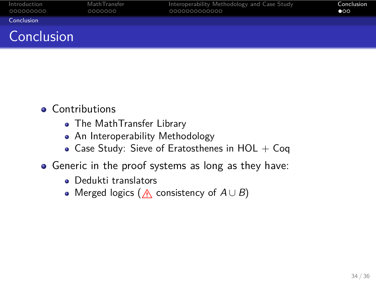#### Introduction MathTransfer Interoperability Methodology and Case Study Conclusion Conclusion Conclusion

- **•** Contributions
	- The MathTransfer Library
	- An Interoperability Methodology
	- $\bullet$  Case Study: Sieve of Eratosthenes in HOL + Coq
- Generic in the proof systems as long as they have:
	- Dedukti translators
	- Merged logics (A consistency of  $A \cup B$ )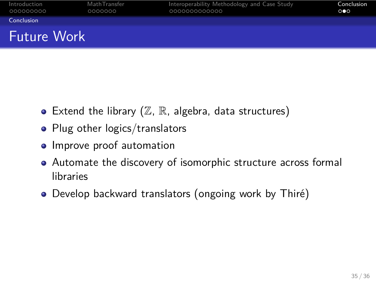### Introduction MathTransfer Interoperability Methodology and Case Study Conclusion Introduction<br>000000000<br>**Conclusion** Future Work

- $\bullet$  Extend the library  $(\mathbb{Z}, \mathbb{R}, \text{ algebra}, \text{data structures})$
- Plug other logics/translators
- Improve proof automation
- Automate the discovery of isomorphic structure across formal libraries
- Develop backward translators (ongoing work by Thiré)